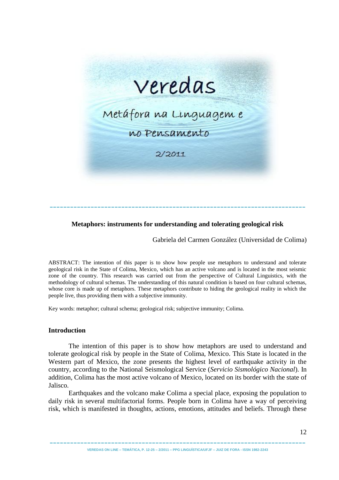

# **Metaphors: instruments for understanding and tolerating geological risk**

---------------------------------------------------------------------------

Gabriela del Carmen González (Universidad de Colima)

ABSTRACT: The intention of this paper is to show how people use metaphors to understand and tolerate geological risk in the State of Colima, Mexico, which has an active volcano and is located in the most seismic zone of the country. This research was carried out from the perspective of Cultural Linguistics, with the methodology of cultural schemas. The understanding of this natural condition is based on four cultural schemas, whose core is made up of metaphors. These metaphors contribute to hiding the geological reality in which the people live, thus providing them with a subjective immunity.

Key words: metaphor; cultural schema; geological risk; subjective immunity; Colima.

## **Introduction**

The intention of this paper is to show how metaphors are used to understand and tolerate geological risk by people in the State of Colima, Mexico. This State is located in the Western part of Mexico, the zone presents the highest level of earthquake activity in the country, according to the National Seismological Service (*Servicio Sismológico Nacional*). In addition, Colima has the most active volcano of Mexico, located on its border with the state of Jalisco.

Earthquakes and the volcano make Colima a special place, exposing the population to daily risk in several multifactorial forms. People born in Colima have a way of perceiving risk, which is manifested in thoughts, actions, emotions, attitudes and beliefs. Through these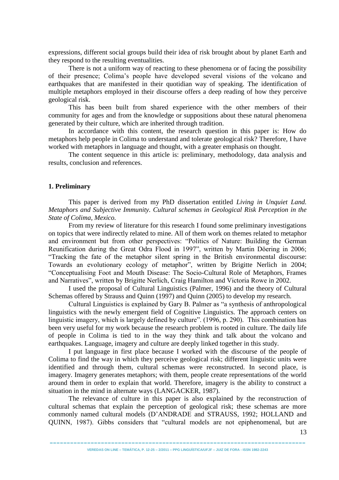expressions, different social groups build their idea of risk brought about by planet Earth and they respond to the resulting eventualities.

There is not a uniform way of reacting to these phenomena or of facing the possibility of their presence; Colima's people have developed several visions of the volcano and earthquakes that are manifested in their quotidian way of speaking. The identification of multiple metaphors employed in their discourse offers a deep reading of how they perceive geological risk.

This has been built from shared experience with the other members of their community for ages and from the knowledge or suppositions about these natural phenomena generated by their culture, which are inherited through tradition.

In accordance with this content, the research question in this paper is: How do metaphors help people in Colima to understand and tolerate geological risk? Therefore, I have worked with metaphors in language and thought, with a greater emphasis on thought.

The content sequence in this article is: preliminary, methodology, data analysis and results, conclusion and references.

## **1. Preliminary**

This paper is derived from my PhD dissertation entitled *Living in Unquiet Land. Metaphors and Subjective Immunity. Cultural schemas in Geological Risk Perception in the State of Colima, Mexico.*

From my review of literature for this research I found some preliminary investigations on topics that were indirectly related to mine. All of them work on themes related to metaphor and environment but from other perspectives: "Politics of Nature: Building the German Reunification during the Great Odra Flood in 1997", written by Martin Döering in 2006; "Tracking the fate of the metaphor silent spring in the British environmental discourse: Towards an evolutionary ecology of metaphor", written by Brigitte Nerlich in 2004; "Conceptualising Foot and Mouth Disease: The Socio-Cultural Role of Metaphors, Frames and Narratives", written by Brigitte Nerlich, Craig Hamilton and Victoria Rowe in 2002.

I used the proposal of Cultural Linguistics (Palmer, 1996) and the theory of Cultural Schemas offered by Strauss and Quinn (1997) and Quinn (2005) to develop my research.

Cultural Linguistics is explained by Gary B. Palmer as "a synthesis of anthropological linguistics with the newly emergent field of Cognitive Linguistics. The approach centers on linguistic imagery, which is largely defined by culture". (1996, p. 290). This combination has been very useful for my work because the research problem is rooted in culture. The daily life of people in Colima is tied to in the way they think and talk about the volcano and earthquakes. Language, imagery and culture are deeply linked together in this study.

I put language in first place because I worked with the discourse of the people of Colima to find the way in which they perceive geological risk; different linguistic units were identified and through them, cultural schemas were reconstructed. In second place, is imagery. Imagery generates metaphors; with them, people create representations of the world around them in order to explain that world. Therefore, imagery is the ability to construct a situation in the mind in alternate ways (LANGACKER, 1987).

The relevance of culture in this paper is also explained by the reconstruction of cultural schemas that explain the perception of geological risk; these schemas are more commonly named cultural models (D'ANDRADE and STRAUSS, 1992; HOLLAND and QUINN, 1987). Gibbs considers that "cultural models are not epiphenomenal, but are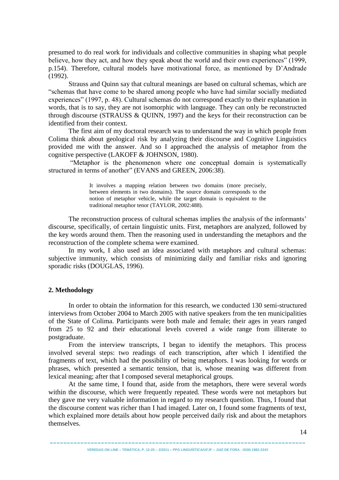presumed to do real work for individuals and collective communities in shaping what people believe, how they act, and how they speak about the world and their own experiences" (1999, p.154). Therefore, cultural models have motivational force, as mentioned by D'Andrade (1992).

Strauss and Quinn say that cultural meanings are based on cultural schemas, which are "schemas that have come to be shared among people who have had similar socially mediated experiences" (1997, p. 48). Cultural schemas do not correspond exactly to their explanation in words, that is to say, they are not isomorphic with language. They can only be reconstructed through discourse (STRAUSS  $&$  QUINN, 1997) and the keys for their reconstruction can be identified from their context.

The first aim of my doctoral research was to understand the way in which people from Colima think about geological risk by analyzing their discourse and Cognitive Linguistics provided me with the answer. And so I approached the analysis of metaphor from the cognitive perspective (LAKOFF & JOHNSON, 1980).

"Metaphor is the phenomenon where one conceptual domain is systematically structured in terms of another" (EVANS and GREEN, 2006:38).

> It involves a mapping relation between two domains (more precisely, between elements in two domains). The source domain corresponds to the notion of metaphor vehicle, while the target domain is equivalent to the traditional metaphor tenor (TAYLOR, 2002:488).

The reconstruction process of cultural schemas implies the analysis of the informants' discourse, specifically, of certain linguistic units. First, metaphors are analyzed, followed by the key words around them. Then the reasoning used in understanding the metaphors and the reconstruction of the complete schema were examined.

In my work, I also used an idea associated with metaphors and cultural schemas: subjective immunity, which consists of minimizing daily and familiar risks and ignoring sporadic risks (DOUGLAS, 1996).

## **2. Methodology**

In order to obtain the information for this research, we conducted 130 semi-structured interviews from October 2004 to March 2005 with native speakers from the ten municipalities of the State of Colima. Participants were both male and female; their ages in years ranged from 25 to 92 and their educational levels covered a wide range from illiterate to postgraduate.

From the interview transcripts, I began to identify the metaphors. This process involved several steps: two readings of each transcription, after which I identified the fragments of text, which had the possibility of being metaphors. I was looking for words or phrases, which presented a semantic tension, that is, whose meaning was different from lexical meaning; after that I composed several metaphorical groups.

At the same time, I found that, aside from the metaphors, there were several words within the discourse, which were frequently repeated. These words were not metaphors but they gave me very valuable information in regard to my research question. Thus, I found that the discourse content was richer than I had imaged. Later on, I found some fragments of text, which explained more details about how people perceived daily risk and about the metaphors themselves.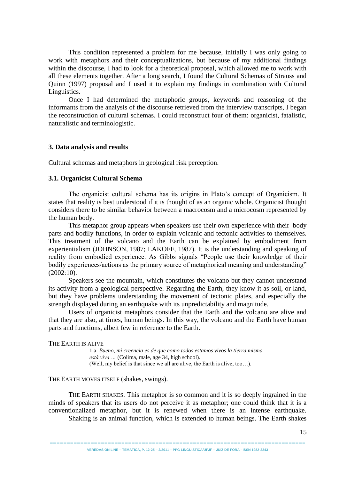This condition represented a problem for me because, initially I was only going to work with metaphors and their conceptualizations, but because of my additional findings within the discourse, I had to look for a theoretical proposal, which allowed me to work with all these elements together. After a long search, I found the Cultural Schemas of Strauss and Quinn (1997) proposal and I used it to explain my findings in combination with Cultural Linguistics.

Once I had determined the metaphoric groups, keywords and reasoning of the informants from the analysis of the discourse retrieved from the interview transcripts, I began the reconstruction of cultural schemas. I could reconstruct four of them: organicist, fatalistic, naturalistic and terminologistic.

## **3. Data analysis and results**

Cultural schemas and metaphors in geological risk perception.

### **3.1. Organicist Cultural Schema**

The organicist cultural schema has its origins in Plato's concept of Organicism. It states that reality is best understood if it is thought of as an organic whole. Organicist thought considers there to be similar behavior between a macrocosm and a microcosm represented by the human body.

This metaphor group appears when speakers use their own experience with their body parts and bodily functions, in order to explain volcanic and tectonic activities to themselves. This treatment of the volcano and the Earth can be explained by embodiment from experientialism (JOHNSON, 1987; LAKOFF, 1987). It is the understanding and speaking of reality from embodied experience. As Gibbs signals "People use their knowledge of their bodily experiences/actions as the primary source of metaphorical meaning and understanding" (2002:10).

Speakers see the mountain, which constitutes the volcano but they cannot understand its activity from a geological perspective. Regarding the Earth, they know it as soil, or land, but they have problems understanding the movement of tectonic plates, and especially the strength displayed during an earthquake with its unpredictability and magnitude.

Users of organicist metaphors consider that the Earth and the volcano are alive and that they are also, at times, human beings. In this way, the volcano and the Earth have human parts and functions, albeit few in reference to the Earth.

#### THE EARTH IS ALIVE

1.a *Bueno, mi creencia es de que como todos estamos vivos la tierra misma está viva …* (Colima, male, age 34, high school). (Well, my belief is that since we all are alive, the Earth is alive, too…).

### THE EARTH MOVES ITSELF (shakes, swings).

THE EARTH SHAKES. This metaphor is so common and it is so deeply ingrained in the minds of speakers that its users do not perceive it as metaphor; one could think that it is a conventionalized metaphor, but it is renewed when there is an intense earthquake. Shaking is an animal function, which is extended to human beings. The Earth shakes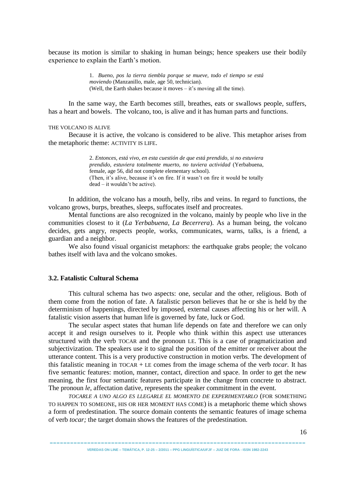because its motion is similar to shaking in human beings; hence speakers use their bodily experience to explain the Earth's motion.

> 1. *Bueno, pos la tierra tiembla porque se mueve, todo el tiempo se está moviendo* (Manzanillo, male, age 50, technician). (Well, the Earth shakes because it moves – it's moving all the time).

In the same way, the Earth becomes still, breathes, eats or swallows people, suffers, has a heart and bowels. The volcano, too, is alive and it has human parts and functions.

### THE VOLCANO IS ALIVE

Because it is active, the volcano is considered to be alive. This metaphor arises from the metaphoric theme: ACTIVITY IS LIFE.

> 2. *Entonces, está vivo, en esta cuestión de que está prendido, si no estuviera prendido, estuviera totalmente muerto, no tuviera actividad* (Yerbabuena, female, age 56, did not complete elementary school). (Then, it's alive, because it's on fire. If it wasn't on fire it would be totally dead – it wouldn't be active).

In addition, the volcano has a mouth, belly, ribs and veins. In regard to functions, the volcano grows, burps, breathes, sleeps, suffocates itself and procreates.

Mental functions are also recognized in the volcano, mainly by people who live in the communities closest to it (*La Yerbabuena, La Becerrera*). As a human being, the volcano decides, gets angry, respects people, works, communicates, warns, talks, is a friend, a guardian and a neighbor.

We also found visual organicist metaphors: the earthquake grabs people; the volcano bathes itself with lava and the volcano smokes.

## **3.2. Fatalistic Cultural Schema**

This cultural schema has two aspects: one, secular and the other, religious. Both of them come from the notion of fate. A fatalistic person believes that he or she is held by the determinism of happenings, directed by imposed, external causes affecting his or her will. A fatalistic vision asserts that human life is governed by fate, luck or God.

The secular aspect states that human life depends on fate and therefore we can only accept it and resign ourselves to it. People who think within this aspect use utterances structured with the verb TOCAR and the pronoun LE. This is a case of pragmaticization and subjectivization. The speakers use it to signal the position of the emitter or receiver about the utterance content. This is a very productive construction in motion verbs. The development of this fatalistic meaning in TOCAR + LE comes from the image schema of the verb *tocar.* It has five semantic features: motion, manner, contact, direction and space. In order to get the new meaning, the first four semantic features participate in the change from concrete to abstract. The pronoun *le*, affectation dative, represents the speaker commitment in the event.

*TOCARLE A UNO ALGO ES LLEGARLE EL MOMENTO DE EXPERIMENTARLO* (FOR SOMETHING TO HAPPEN TO SOMEONE, HIS OR HER MOMENT HAS COME) is a metaphoric theme which shows a form of predestination. The source domain contents the semantic features of image schema of verb *tocar;* the target domain shows the features of the predestination.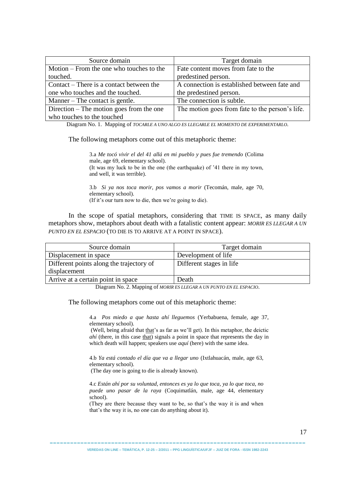| Source domain                              | Target domain                                   |
|--------------------------------------------|-------------------------------------------------|
| Motion $-$ From the one who touches to the | Fate content moves from fate to the             |
| touched.                                   | predestined person.                             |
| Contact – There is a contact between the   | A connection is established between fate and    |
| one who touches and the touched.           | the predestined person.                         |
| Manner – The contact is gentle.            | The connection is subtle.                       |
| Direction $-$ The motion goes from the one | The motion goes from fate to the person's life. |
| who touches to the touched                 |                                                 |

Diagram No. 1. Mapping of *TOCARLE A UNO ALGO ES LLEGARLE EL MOMENTO DE EXPERIMENTARLO.*

The following metaphors come out of this metaphoric theme:

3.a *Me tocó vivir el del 41 allá en mi pueblo y pues fue tremendo* (Colima male, age 69, elementary school). (It was my luck to be in the one (the earthquake) of '41 there in my town, and well, it was terrible).

3.b *Si ya nos toca morir, pos vamos a morir* (Tecomán, male, age 70, elementary school). (If it's our turn now to die, then we're going to die).

In the scope of spatial metaphors, considering that TIME IS SPACE, as many daily metaphors show, metaphors about death with a fatalistic content appear: *MORIR ES LLEGAR A UN PUNTO EN EL ESPACIO* (TO DIE IS TO ARRIVE AT A POINT IN SPACE).

| Source domain                            | Target domain            |
|------------------------------------------|--------------------------|
| Displacement in space                    | Development of life      |
| Different points along the trajectory of | Different stages in life |
| displacement                             |                          |
| Arrive at a certain point in space       | Death                    |

Diagram No. 2. Mapping of *MORIR ES LLEGAR A UN PUNTO EN EL ESPACIO*.

The following metaphors come out of this metaphoric theme:

4.a *Pos miedo a que hasta ahí lleguemos* (Yerbabuena, female, age 37, elementary school).

(Well, being afraid that that's as far as we'll get). In this metaphor, the deictic *ahí* (there, in this case that) signals a point in space that represents the day in which death will happen; speakers use *aquí* (here) with the same idea.

4.b *Ya está contado el día que va a llegar uno* (Ixtlahuacán, male, age 63, elementary school).

(The day one is going to die is already known).

4.c *Están ahí por su voluntad, entonces es ya lo que toca, ya lo que toca, no puede uno pasar de la raya* (Coquimatlán, male, age 44, elementary school).

(They are there because they want to be, so that's the way it is and when that's the way it is, no one can do anything about it).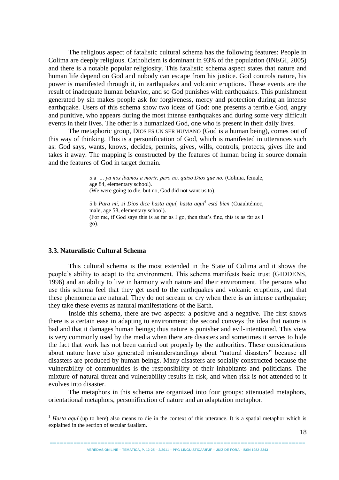The religious aspect of fatalistic cultural schema has the following features: People in Colima are deeply religious. Catholicism is dominant in 93% of the population (INEGI, 2005) and there is a notable popular religiosity. This fatalistic schema aspect states that nature and human life depend on God and nobody can escape from his justice. God controls nature, his power is manifested through it, in earthquakes and volcanic eruptions. These events are the result of inadequate human behavior, and so God punishes with earthquakes. This punishment generated by sin makes people ask for forgiveness, mercy and protection during an intense earthquake. Users of this schema show two ideas of God: one presents a terrible God, angry and punitive, who appears during the most intense earthquakes and during some very difficult events in their lives. The other is a humanized God, one who is present in their daily lives.

The metaphoric group, DIOS ES UN SER HUMANO (God is a human being), comes out of this way of thinking. This is a personification of God, which is manifested in utterances such as: God says, wants, knows, decides, permits, gives, wills, controls, protects, gives life and takes it away. The mapping is constructed by the features of human being in source domain and the features of God in target domain.

> 5.a *… ya nos íbamos a morir, pero no, quiso Dios que no.* (Colima, female, age 84, elementary school). (We were going to die, but no, God did not want us to).

> 5.b *Para mí, si Dios dice hasta aquí, hasta aquí<sup>1</sup> está bien* (Cuauhtémoc, male, age 58, elementary school). (For me, if God says this is as far as I go, then that's fine, this is as far as I go).

### **3.3. Naturalistic Cultural Schema**

1

This cultural schema is the most extended in the State of Colima and it shows the people's ability to adapt to the environment. This schema manifests basic trust (GIDDENS, 1996) and an ability to live in harmony with nature and their environment. The persons who use this schema feel that they get used to the earthquakes and volcanic eruptions, and that these phenomena are natural. They do not scream or cry when there is an intense earthquake; they take these events as natural manifestations of the Earth.

Inside this schema, there are two aspects: a positive and a negative. The first shows there is a certain ease in adapting to environment; the second conveys the idea that nature is bad and that it damages human beings; thus nature is punisher and evil-intentioned. This view is very commonly used by the media when there are disasters and sometimes it serves to hide the fact that work has not been carried out properly by the authorities. These considerations about nature have also generated misunderstandings about "natural disasters" because all disasters are produced by human beings. Many disasters are socially constructed because the vulnerability of communities is the responsibility of their inhabitants and politicians. The mixture of natural threat and vulnerability results in risk, and when risk is not attended to it evolves into disaster.

The metaphors in this schema are organized into four groups: attenuated metaphors, orientational metaphors, personification of nature and an adaptation metaphor.

<sup>&</sup>lt;sup>1</sup> *Hasta aquí* (up to here) also means to die in the context of this utterance. It is a spatial metaphor which is explained in the section of secular fatalism.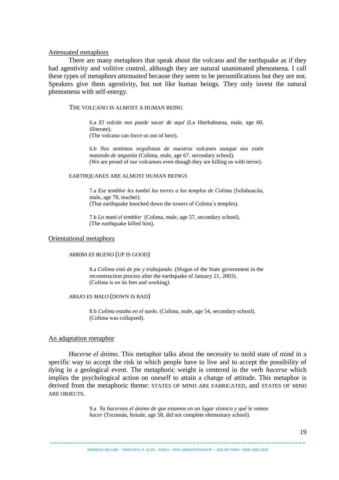### Attenuated metaphors

There are many metaphors that speak about the volcano and the earthquake as if they had agentivity and volitive control, although they are natural unanimated phenomena. I call these types of metaphors *attenuated* because they seem to be personifications but they are not. Speakers give them agentivity, but not like human beings. They only invest the natural phenomena with self-energy.

### THE VOLCANO IS ALMOST A HUMAN BEING

6.a *El volcán nos puede sacar de aquí* (La Hierbabuena, male, age 60, illiterate). (The volcano can force us out of here).

6.b *Nos sentimos orgullosos de nuestros volcanes aunque nos estén matando de angustia* (Colima, male, age 67, secondary school). (We are proud of our volcanoes even though they are killing us with terror).

#### EARTHQUAKES ARE ALMOST HUMAN BEINGS

7.a *Ese temblor les tumbó las torres a los templos de Colima* (Ixtlahuacán, male, age 78, teacher). (That earthquake knocked down the towers of Colima´s temples).

7.b *Lo mató el temblor* (Colima, male, age 57, secondary school). (The earthquake killed him).

#### Orientational metaphors

#### *ARRIBA ES BUENO* (UP IS GOOD)

8.a *Colima está de pie y trabajando.* (Slogan of the State government in the reconstruction process after the earthquake of January 21, 2003). (Colima is on its feet and working*).*

### *ABAJO ES MALO* (DOWN IS BAD)

8.b *Colima estaba en el suelo.* (Colima, male, age 54, secondary school). (Colima was collapsed).

#### An adaptation metaphor

*Hacerse el ánimo*. This metaphor talks about the necessity to mold state of mind in a specific way to accept the risk in which people have to live and to accept the possibility of dying in a geological event. The metaphoric weight is centered in the verb *hacerse* which implies the psychological action on oneself to attain a change of attitude. This metaphor is derived from the metaphoric theme: STATES OF MIND ARE FABRICATED, and STATES OF MIND ARE OBJECTS.

> 9.a *Ya hacernos el ánimo de que estamos en un lugar sísmico y qué le vamos hacer* (Tecomán, female, age 58, did not complete elementary school).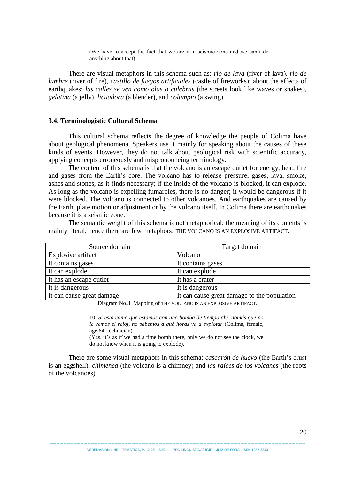(We have to accept the fact that we are in a seismic zone and we can't do anything about that).

There are visual metaphors in this schema such as: *río de lava* (river of lava), *río de lumbre* (river of fire), *castillo de fuegos artificiales* (castle of fireworks); about the effects of earthquakes: *las calles se ven como olas o culebras* (the streets look like waves or snakes), *gelatina* (a jelly), *licuadora* (a blender), and *columpio* (a swing).

### **3.4. Terminologistic Cultural Schema**

This cultural schema reflects the degree of knowledge the people of Colima have about geological phenomena. Speakers use it mainly for speaking about the causes of these kinds of events. However, they do not talk about geological risk with scientific accuracy, applying concepts erroneously and mispronouncing terminology.

The content of this schema is that the volcano is an escape outlet for energy, heat, fire and gases from the Earth's core. The volcano has to release pressure, gases, lava, smoke, ashes and stones, as it finds necessary; if the inside of the volcano is blocked, it can explode. As long as the volcano is expelling fumaroles, there is no danger; it would be dangerous if it were blocked. The volcano is connected to other volcanoes. And earthquakes are caused by the Earth, plate motion or adjustment or by the volcano itself. In Colima there are earthquakes because it is a seismic zone.

The semantic weight of this schema is not metaphorical; the meaning of its contents is mainly literal, hence there are few metaphors: THE VOLCANO IS AN EXPLOSIVE ARTIFACT.

| Source domain             | Target domain                               |
|---------------------------|---------------------------------------------|
| Explosive artifact        | Volcano                                     |
| It contains gases         | It contains gases                           |
| It can explode            | It can explode                              |
| It has an escape outlet   | It has a crater                             |
| It is dangerous           | It is dangerous                             |
| It can cause great damage | It can cause great damage to the population |

Diagram No.3. Mapping of THE VOLCANO IS AN EXPLOSIVE ARTIFACT.

10. *Sí está como que estamos con una bomba de tiempo ahí, nomás que no le vemos el reloj, no sabemos a qué horas va a explotar* (Colima, female, age 64, technician).

(Yes, it's as if we had a time bomb there, only we do not see the clock, we do not know when it is going to explode).

There are some visual metaphors in this schema: *cascarón de huevo* (the Earth's crust is an eggshell), *chimenea* (the volcano is a chimney) and *las raíces de los volcanes* (the roots of the volcanoes).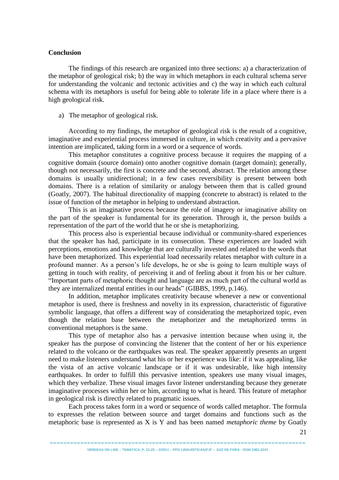### **Conclusion**

The findings of this research are organized into three sections: a) a characterization of the metaphor of geological risk; b) the way in which metaphors in each cultural schema serve for understanding the volcanic and tectonic activities and c) the way in which each cultural schema with its metaphors is useful for being able to tolerate life in a place where there is a high geological risk.

a) The metaphor of geological risk.

According to my findings, the metaphor of geological risk is the result of a cognitive, imaginative and experiential process immersed in culture, in which creativity and a pervasive intention are implicated, taking form in a word or a sequence of words.

This metaphor constitutes a cognitive process because it requires the mapping of a cognitive domain (source domain) onto another cognitive domain (target domain); generally, though not necessarily, the first is concrete and the second, abstract. The relation among these domains is usually unidirectional; in a few cases reversibility is present between both domains. There is a relation of similarity or analogy between them that is called ground (Goatly, 2007). The habitual directionality of mapping (concrete to abstract) is related to the issue of function of the metaphor in helping to understand abstraction.

This is an imaginative process because the role of imagery or imaginative ability on the part of the speaker is fundamental for its generation. Through it, the person builds a representation of the part of the world that he or she is metaphorizing.

This process also is experiential because individual or community-shared experiences that the speaker has had, participate in its consecution. These experiences are loaded with perceptions, emotions and knowledge that are culturally invested and related to the words that have been metaphorized. This experiential load necessarily relates metaphor with culture in a profound manner. As a person's life develops, he or she is going to learn multiple ways of getting in touch with reality, of perceiving it and of feeling about it from his or her culture. "Important parts of metaphoric thought and language are as much part of the cultural world as they are internalized mental entities in our heads" (GIBBS, 1999, p.146).

In addition, metaphor implicates creativity because whenever a new or conventional metaphor is used, there is freshness and novelty in its expression, characteristic of figurative symbolic language, that offers a different way of considerating the metaphorized topic, even though the relation base between the metaphorizer and the metaphorized terms in conventional metaphors is the same.

This type of metaphor also has a pervasive intention because when using it, the speaker has the purpose of convincing the listener that the content of her or his experience related to the volcano or the earthquakes was real. The speaker apparently presents an urgent need to make listeners understand what his or her experience was like: if it was appealing, like the vista of an active volcanic landscape or if it was undesirable, like high intensity earthquakes. In order to fulfill this pervasive intention, speakers use many visual images, which they verbalize. These visual images favor listener understanding because they generate imaginative processes within her or him, according to what is heard. This feature of metaphor in geological risk is directly related to pragmatic issues.

Each process takes form in a word or sequence of words called metaphor. The formula to expresses the relation between source and target domains and functions such as the metaphoric base is represented as X is Y and has been named *metaphoric theme* by Goatly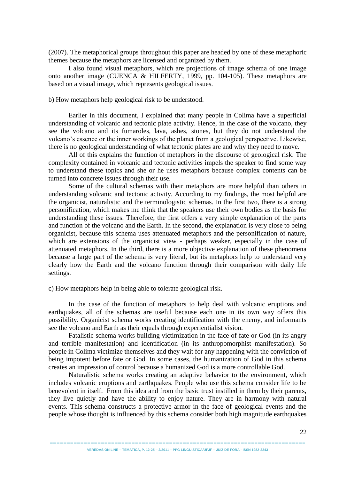(2007). The metaphorical groups throughout this paper are headed by one of these metaphoric themes because the metaphors are licensed and organized by them.

I also found visual metaphors, which are projections of image schema of one image onto another image (CUENCA & HILFERTY, 1999, pp. 104-105). These metaphors are based on a visual image, which represents geological issues.

b) How metaphors help geological risk to be understood.

Earlier in this document, I explained that many people in Colima have a superficial understanding of volcanic and tectonic plate activity. Hence, in the case of the volcano, they see the volcano and its fumaroles, lava, ashes, stones, but they do not understand the volcano's essence or the inner workings of the planet from a geological perspective. Likewise, there is no geological understanding of what tectonic plates are and why they need to move.

All of this explains the function of metaphors in the discourse of geological risk. The complexity contained in volcanic and tectonic activities impels the speaker to find some way to understand these topics and she or he uses metaphors because complex contents can be turned into concrete issues through their use.

Some of the cultural schemas with their metaphors are more helpful than others in understanding volcanic and tectonic activity. According to my findings, the most helpful are the organicist, naturalistic and the terminologistic schemas. In the first two, there is a strong personification, which makes me think that the speakers use their own bodies as the basis for understanding these issues. Therefore, the first offers a very simple explanation of the parts and function of the volcano and the Earth. In the second, the explanation is very close to being organicist, because this schema uses attenuated metaphors and the personification of nature, which are extensions of the organicist view - perhaps weaker, especially in the case of attenuated metaphors. In the third, there is a more objective explanation of these phenomena because a large part of the schema is very literal, but its metaphors help to understand very clearly how the Earth and the volcano function through their comparison with daily life settings.

c) How metaphors help in being able to tolerate geological risk.

In the case of the function of metaphors to help deal with volcanic eruptions and earthquakes, all of the schemas are useful because each one in its own way offers this possibility. Organicist schema works creating identification with the enemy, and informants see the volcano and Earth as their equals through experientialist vision.

Fatalistic schema works building victimization in the face of fate or God (in its angry and terrible manifestation) and identification (in its anthropomorphist manifestation). So people in Colima victimize themselves and they wait for any happening with the conviction of being impotent before fate or God. In some cases, the humanization of God in this schema creates an impression of control because a humanized God is a more controllable God.

Naturalistic schema works creating an adaptive behavior to the environment, which includes volcanic eruptions and earthquakes. People who use this schema consider life to be benevolent in itself. From this idea and from the basic trust instilled in them by their parents, they live quietly and have the ability to enjoy nature. They are in harmony with natural events. This schema constructs a protective armor in the face of geological events and the people whose thought is influenced by this schema consider both high magnitude earthquakes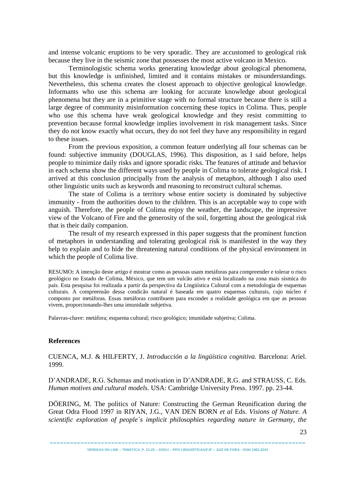and intense volcanic eruptions to be very sporadic. They are accustomed to geological risk because they live in the seismic zone that possesses the most active volcano in Mexico.

Terminologistic schema works generating knowledge about geological phenomena, but this knowledge is unfinished, limited and it contains mistakes or misunderstandings. Nevertheless, this schema creates the closest approach to objective geological knowledge. Informants who use this schema are looking for accurate knowledge about geological phenomena but they are in a primitive stage with no formal structure because there is still a large degree of community misinformation concerning these topics in Colima. Thus, people who use this schema have weak geological knowledge and they resist committing to prevention because formal knowledge implies involvement in risk management tasks. Since they do not know exactly what occurs, they do not feel they have any responsibility in regard to these issues.

From the previous exposition, a common feature underlying all four schemas can be found: subjective immunity (DOUGLAS, 1996). This disposition, as I said before, helps people to minimize daily risks and ignore sporadic risks. The features of attitude and behavior in each schema show the different ways used by people in Colima to tolerate geological risk. I arrived at this conclusion principally from the analysis of metaphors, although I also used other linguistic units such as keywords and reasoning to reconstruct cultural schemas.

The state of Colima is a territory whose entire society is dominated by subjective immunity - from the authorities down to the children. This is an acceptable way to cope with anguish. Therefore, the people of Colima enjoy the weather, the landscape, the impressive view of the Volcano of Fire and the generosity of the soil, forgetting about the geological risk that is their daily companion.

The result of my research expressed in this paper suggests that the prominent function of metaphors in understanding and tolerating geological risk is manifested in the way they help to explain and to hide the threatening natural conditions of the physical environment in which the people of Colima live.

RESUMO**:** A intenção deste artigo é mostrar como as pessoas usam metáforas para compreender e tolerar o risco geológico no Estado de Colima, México, que tem um vulcão ativo e está localizado na zona mais sísmica do país. Esta pesquisa foi realizada a partir da perspectiva da Lingüística Cultural com a metodologia de esquemas culturais. A compreensão dessa condicão natural é baseada em quatro esquemas culturais, cujo núcleo é composto por metáforas. Essas metáforas contribuem para esconder a realidade geológica em que as pessoas vivem, proporcionando-lhes uma imunidade subjetiva.

Palavras-chave: metáfora; esquema cultural; risco geológico; imunidade subjetiva; Colima.

### **References**

CUENCA, M.J. & HILFERTY, J. *Introducción a la lingüística cognitiva.* Barcelona: Ariel. 1999.

D'ANDRADE, R.G. Schemas and motivation in D'ANDRADE, R.G. and STRAUSS, C. Eds. *Human motives and cultural models.* USA: Cambridge University Press. 1997. pp. 23-44.

DÖERING, M. The politics of Nature: Constructing the German Reunification during the Great Odra Flood 1997 in RIYAN, J.G., VAN DEN BORN *et al* Eds. *Visions of Nature. A scientific exploration of people´s implicit philosophies regarding nature in Germany, the*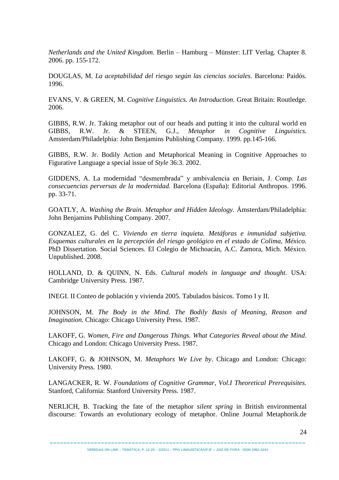*Netherlands and the United Kingdom.* Berlin – Hamburg – Münster: LIT Verlag. Chapter 8. 2006. pp. 155-172.

DOUGLAS, M. *La aceptabilidad del riesgo según las ciencias sociales.* Barcelona: Paidós. 1996.

EVANS, V. & GREEN, M. *Cognitive Linguistics. An Introduction.* Great Britain: Routledge. 2006.

GIBBS, R.W. Jr. Taking metaphor out of our heads and putting it into the cultural world en GIBBS, R.W. Jr. & STEEN, G.J., *Metaphor in Cognitive Linguistics.*  Amsterdam/Philadelphia: John Benjamins Publishing Company. 1999. pp.145-166.

GIBBS, R.W. Jr. Bodily Action and Metaphorical Meaning in Cognitive Approaches to Figurative Language a special issue of *Style* 36:3. 2002.

GIDDENS, A. La modernidad "desmembrada" y ambivalencia en Beriain, J. Comp. *Las consecuencias perversas de la modernidad.* Barcelona (España): Editorial Anthropos. 1996. pp. 33-71.

GOATLY, A. *Washing the Brain. Metaphor and Hidden Ideology.* Ámsterdam/Philadelphia: John Benjamins Publishing Company. 2007.

GONZALEZ, G. del C. *Viviendo en tierra inquieta. Metáforas e inmunidad subjetiva. Esquemas culturales en la percepción del riesgo geológico en el estado de Colima, México.* PhD Dissertation. Social Sciences. El Colegio de Michoacán, A.C. Zamora, Mich. México. Unpublished. 2008.

HOLLAND, D. & QUINN, N. Eds. *Cultural models in language and thought.* USA: Cambridge University Press. 1987.

INEGI. II Conteo de población y vivienda 2005. Tabulados básicos. Tomo I y II.

JOHNSON, M. *The Body in the Mind. The Bodily Basis of Meaning, Reason and Imagination.* Chicago: Chicago University Press. 1987.

LAKOFF, G. *Women, Fire and Dangerous Things. What Categories Reveal about the Mind*. Chicago and London: Chicago University Press. 1987.

LAKOFF, G. & JOHNSON, M. *Metaphors We Live by*. Chicago and London: Chicago: University Press. 1980.

LANGACKER, R. W. *Foundations of Cognitive Grammar, Vol.I Theoretical Prerequisites.*  Stanford, California: Stanford University Press. 1987.

NERLICH, B. Tracking the fate of the metaphor *silent spring* in British environmental discourse: Towards an evolutionary ecology of metaphor. Online Journal Metaphorik.de